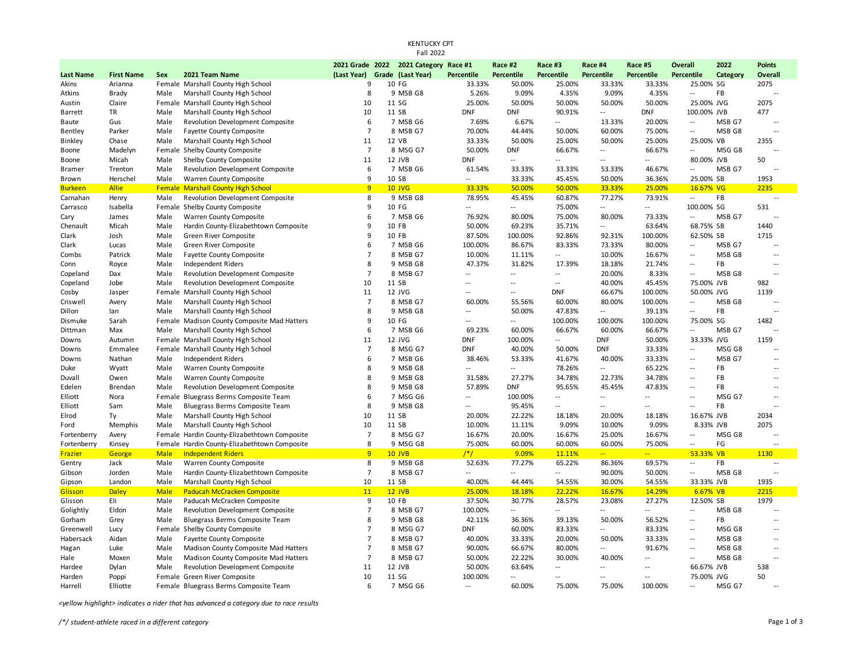| <b>Fall 2022</b>    |                   |              |                                                                                 |                     |  |                                       |                          |                          |                          |                          |                          |                             |                     |                                            |
|---------------------|-------------------|--------------|---------------------------------------------------------------------------------|---------------------|--|---------------------------------------|--------------------------|--------------------------|--------------------------|--------------------------|--------------------------|-----------------------------|---------------------|--------------------------------------------|
|                     |                   |              |                                                                                 |                     |  | 2021 Grade 2022 2021 Category Race #1 |                          | Race #2                  | Race #3                  | Race #4                  | Race #5                  | <b>Overall</b>              | 2022                | <b>Points</b>                              |
| <b>Last Name</b>    | <b>First Name</b> | <b>Sex</b>   | 2021 Team Name                                                                  | (Last Year)         |  | Grade (Last Year)                     | <b>Percentile</b>        | Percentile               | <b>Percentile</b>        | <b>Percentile</b>        | <b>Percentile</b>        | <b>Percentile</b>           | Category            | <b>Overall</b>                             |
| Akins               | Arianna           |              | Female Marshall County High School                                              | 9                   |  | 10 FG                                 | 33.33%                   | 50.00%                   | 25.00%                   | 33.33%                   | 33.33%                   | 25.00% SG                   |                     | 2075                                       |
| Atkins              | <b>Brady</b>      | Male         | Marshall County High School                                                     | 8                   |  | 9 MSB G8                              | 5.26%                    | 9.09%                    | 4.35%                    | 9.09%                    | 4.35%                    | $\overline{a}$              | FB                  | $\overline{\phantom{a}}$                   |
| Austin              | Claire            |              | Female Marshall County High School                                              | 10                  |  | 11 SG                                 | 25.00%                   | 50.00%                   | 50.00%                   | 50.00%                   | 50.00%                   | 25.00% JVG                  |                     | 2075                                       |
| Barrett             | TR                | Male         | Marshall County High School                                                     | 10                  |  | 11 SB                                 | <b>DNF</b>               | <b>DNF</b>               | 90.91%                   | $\overline{a}$           | <b>DNF</b>               | 100.00% JVB                 |                     | 477                                        |
| Baute               | Gus               | Male         | Revolution Development Composite                                                | 6                   |  | 7 MSB G6                              | 7.69%                    | 6.67%                    | $\overline{a}$           | 13.33%                   | 20.00%                   | $\sim$ $\sim$               | MSB G7              | $\overline{\phantom{a}}$                   |
| Bentley             | Parker            | Male         | <b>Fayette County Composite</b>                                                 | $\overline{7}$      |  | 8 MSB G7                              | 70.00%                   | 44.44%                   | 50.00%                   | 60.00%                   | 75.00%                   | $\overline{a}$              | MSB G8              | $\overline{a}$                             |
| Binkley             | Chase             | Male         | Marshall County High School                                                     | 11                  |  | 12 VB                                 | 33.33%                   | 50.00%                   | 25.00%                   | 50.00%                   | 25.00%                   | 25.00% VB                   |                     | 2355                                       |
| Boone               | Madelyn           |              | Female Shelby County Composite                                                  | $\overline{7}$      |  | 8 MSG G7                              | 50.00%                   | <b>DNF</b>               | 66.67%                   | $\overline{a}$           | 66.67%                   | $\overline{a}$              | MSG G8              | $\overline{a}$                             |
| Boone               | Micah             | Male         | Shelby County Composite                                                         | 11                  |  | 12 JVB                                | <b>DNF</b>               | $\sim$                   | $\overline{a}$           | $\overline{a}$           | $\overline{a}$           | 80.00% JVB                  |                     | 50                                         |
| <b>Bramer</b>       | Trenton           | Male         | Revolution Development Composite                                                | 6                   |  | 7 MSB G6                              | 61.54%                   | 33.33%                   | 33.33%                   | 53.33%                   | 46.67%                   | $\sim$ $\sim$               | MSB G7              | $\overline{a}$                             |
| Brown               | Herschel          | Male         | Warren County Composite                                                         | q                   |  | 10 SB                                 | $\overline{a}$           | 33.33%                   | 45.45%                   | 50.00%                   | 36.36%                   | 25.00% SB                   |                     | 1953                                       |
| <b>Burkeen</b>      | <b>Allie</b>      |              | <b>Female Marshall County High School</b>                                       | 9                   |  | <b>10 JVG</b>                         | 33.33%                   | 50.00%                   | 50.00%                   | 33.33%                   | 25.00%                   | 16.67% VG                   |                     | 2235                                       |
| Carnahan            | Henry             | Male         | Revolution Development Composite                                                | 8<br>9              |  | 9 MSB G8<br>10 FG                     | 78.95%<br>$\overline{a}$ | 45.45%<br>$\overline{a}$ | 60.87%                   | 77.27%<br>$\overline{a}$ | 73.91%<br>$\overline{a}$ | $\overline{a}$              | FB                  | $\overline{a}$                             |
| Carrasco            | Isabella          |              | Female Shelby County Composite                                                  | 6                   |  |                                       |                          |                          | 75.00%                   |                          |                          | 100.00% SG<br>$\sim$ $\sim$ | MSB G7              | 531<br>$\overline{\phantom{a}}$            |
| Cary                | James             | Male<br>Male | Warren County Composite                                                         | 9                   |  | 7 MSB G6<br>10 FB                     | 76.92%<br>50.00%         | 80.00%<br>69.23%         | 75.00%<br>35.71%         | 80.00%<br>$\overline{a}$ | 73.33%<br>63.64%         | 68.75% SB                   |                     | 1440                                       |
| Chenault<br>Clark   | Micah<br>Josh     | Male         | Hardin County-Elizabethtown Composite<br>Green River Composite                  | 9                   |  | 10 FB                                 | 87.50%                   | 100.00%                  | 92.86%                   | 92.31%                   | 100.00%                  | 62.50% SB                   |                     | 1715                                       |
| Clark               | Lucas             | Male         | Green River Composite                                                           | 6                   |  | 7 MSB G6                              | 100.00%                  | 86.67%                   | 83.33%                   | 73.33%                   | 80.00%                   | $\overline{\phantom{a}}$    | MSB G7              | $\overline{a}$                             |
| Combs               | Patrick           | Male         | <b>Fayette County Composite</b>                                                 | $\overline{7}$      |  | 8 MSB G7                              | 10.00%                   | 11.11%                   | --                       | 10.00%                   | 16.67%                   | $\sim$                      | MSB <sub>G8</sub>   | $\overline{\phantom{a}}$                   |
| Conn                | Royce             | Male         | Independent Riders                                                              | 8                   |  | 9 MSB G8                              | 47.37%                   | 31.82%                   | 17.39%                   | 18.18%                   | 21.74%                   | $\sim$ $\sim$               | FB                  | $\overline{\phantom{a}}$                   |
| Copeland            | Dax               | Male         | Revolution Development Composite                                                | $\overline{7}$      |  | 8 MSB G7                              | $\overline{\phantom{a}}$ | $\overline{\phantom{a}}$ | $\overline{a}$           | 20.00%                   | 8.33%                    | $\overline{a}$              | MSB G8              | $\overline{\phantom{a}}$                   |
| Copeland            | Jobe              | Male         | <b>Revolution Development Composite</b>                                         | 10                  |  | 11 SB                                 | $\overline{a}$           | $\overline{a}$           | $\overline{\phantom{a}}$ | 40.00%                   | 45.45%                   | 75.00% JVB                  |                     | 982                                        |
| Cosby               | Jasper            |              | Female Marshall County High School                                              | 11                  |  | 12 JVG                                | $\overline{a}$           | $\overline{a}$           | <b>DNF</b>               | 66.67%                   | 100.00%                  | 50.00% JVG                  |                     | 1139                                       |
| Criswell            | Avery             | Male         | Marshall County High School                                                     | $\overline{7}$      |  | 8 MSB G7                              | 60.00%                   | 55.56%                   | 60.00%                   | 80.00%                   | 100.00%                  | $\sim$                      | MSB G8              |                                            |
| Dillon              | lan               | Male         | Marshall County High School                                                     | 8                   |  | 9 MSB G8                              | $\overline{\phantom{a}}$ | 50.00%                   | 47.83%                   | $\overline{a}$           | 39.13%                   | $\sim$                      | FB                  | $\overline{a}$                             |
| Dismuke             | Sarah             |              | Female Madison County Composite Mad Hatters                                     | 9                   |  | 10 FG                                 | $\sim$                   | $\overline{a}$           | 100.00%                  | 100.00%                  | 100.00%                  | 75.00% SG                   |                     | 1482                                       |
| Dittman             | Max               | Male         | Marshall County High School                                                     | 6                   |  | 7 MSB G6                              | 69.23%                   | 60.00%                   | 66.67%                   | 60.00%                   | 66.67%                   | $\sim$ $\sim$               | MSB G7              | $\overline{a}$                             |
| Downs               | Autumn            |              | Female Marshall County High School                                              | 11                  |  | 12 JVG                                | <b>DNF</b>               | 100.00%                  | $\overline{a}$           | <b>DNF</b>               | 50.00%                   | 33.33% JVG                  |                     | 1159                                       |
| Downs               | Emmalee           |              | Female Marshall County High School                                              | $\overline{7}$      |  | 8 MSG G7                              | <b>DNF</b>               | 40.00%                   | 50.00%                   | <b>DNF</b>               | 33.33%                   | $\sim$                      | MSG G8              | $\overline{a}$                             |
| Downs               | Nathan            | Male         | <b>Independent Riders</b>                                                       | 6                   |  | 7 MSB G6                              | 38.46%                   | 53.33%                   | 41.67%                   | 40.00%                   | 33.33%                   | $\sim$ $\sim$               | MSB G7              | $\overline{\phantom{a}}$                   |
| Duke                | Wyatt             | Male         | Warren County Composite                                                         | 8                   |  | 9 MSB G8                              | $\sim$                   | $\overline{a}$           | 78.26%                   | $\overline{a}$           | 65.22%                   | $\sim$                      | FB                  | $\overline{a}$                             |
| Duvall              | Owen              | Male         | Warren County Composite                                                         | 8                   |  | 9 MSB G8                              | 31.58%                   | 27.27%                   | 34.78%                   | 22.73%                   | 34.78%                   | $\sim$ $\sim$               | <b>FB</b>           | $\overline{\phantom{a}}$                   |
| Edelen              | Brendan           | Male         | <b>Revolution Development Composite</b>                                         | 8                   |  | 9 MSB G8                              | 57.89%                   | <b>DNF</b>               | 95.65%                   | 45.45%                   | 47.83%                   | $\sim$                      | <b>FB</b>           | $\overline{\phantom{a}}$                   |
| Elliott             | Nora              |              | Female Bluegrass Berms Composite Team                                           | 6                   |  | 7 MSG G6                              | $\overline{a}$           | 100.00%                  | $\overline{a}$           | щ.                       | $\overline{a}$           | $\overline{\phantom{a}}$    | MSG G7              | $\overline{a}$                             |
| Elliott             | Sam               | Male         | Bluegrass Berms Composite Team                                                  | 8                   |  | 9 MSB G8                              | $\overline{\phantom{a}}$ | 95.45%                   | $\overline{a}$           | $\overline{a}$           | $\overline{a}$           | $\overline{a}$              | FB                  | $\overline{a}$                             |
| Elrod               | Ty                | Male         | Marshall County High School                                                     | 10                  |  | 11 SB                                 | 20.00%                   | 22.22%                   | 18.18%                   | 20.00%                   | 18.18%                   | 16.67% JVB                  |                     | 2034                                       |
| Ford                | Memphis           | Male         | Marshall County High School                                                     | 10                  |  | 11 SB                                 | 10.00%                   | 11.11%                   | 9.09%                    | 10.00%                   | 9.09%                    | 8.33% JVB                   |                     | 2075                                       |
| Fortenberry         | Avery             |              | Female Hardin County-Elizabethtown Composite                                    | $\overline{7}$      |  | 8 MSG G7                              | 16.67%                   | 20.00%                   | 16.67%                   | 25.00%                   | 16.67%                   | $\overline{\phantom{a}}$    | MSG G8              | $\overline{a}$                             |
| Fortenberry         | Kinsey            | Female       | Hardin County-Elizabethtown Composite                                           | 8                   |  | 9 MSG G8                              | 75.00%                   | 60.00%                   | 60.00%                   | 60.00%                   | 75.00%                   | $\overline{a}$              | FG                  |                                            |
| Frazier             | George            | <b>Male</b>  | <b>Independent Riders</b>                                                       | 9                   |  | <b>10 JVB</b>                         | $/*/$                    | 9.09%                    | 11.11%                   | $\overline{a}$           | $\frac{1}{2}$            | 53.33% VB                   |                     | 1130                                       |
| Gentry              | Jack              | Male         | Warren County Composite                                                         | 8                   |  | 9 MSB G8                              | 52.63%                   | 77.27%                   | 65.22%                   | 86.36%                   | 69.57%                   | $\sim$                      | FB                  | $\overline{a}$                             |
| Gibson              | Jorden            | Male         | Hardin County-Elizabethtown Composite                                           | $\overline{7}$      |  | 8 MSB G7                              | $\overline{a}$           | $\overline{a}$           | $\overline{a}$           | 90.00%                   | 50.00%                   | $\overline{a}$              | MSB G8              | $\sim$                                     |
| Gipson              | Landon            | Male         | Marshall County High School                                                     | 10                  |  | 11 SB                                 | 40.00%                   | 44.44%                   | 54.55%                   | 30.00%                   | 54.55%                   | 33.33% JVB                  |                     | 1935                                       |
| Glisson             | <b>Daley</b>      | <b>Male</b>  | <b>Paducah McCracken Composite</b>                                              | 11                  |  | $12$ JVB                              | 25.00%                   | 18.18%                   | 22.22%                   | 16.67%                   | 14.29%                   | 6.67% VB                    |                     | 2215                                       |
| Glisson             | Eli               | Male         | Paducah McCracken Composite                                                     | 9                   |  | 10 FB                                 | 37.50%                   | 30.77%                   | 28.57%                   | 23.08%<br>$\overline{a}$ | 27.27%                   | 12.50% SB                   |                     | 1979                                       |
| Golightly           | Eldon             | Male         | Revolution Development Composite                                                | $\overline{7}$      |  | 8 MSB G7                              | 100.00%                  | $\overline{a}$           | $\overline{a}$           |                          | $\overline{a}$           | $\sim$ $\sim$               | MSB G8<br><b>FB</b> | $\overline{a}$<br>$\overline{\phantom{a}}$ |
| Gorham<br>Greenwell | Grey<br>Lucy      | Male         | Bluegrass Berms Composite Team<br>Female Shelby County Composite                | 8<br>$\overline{7}$ |  | 9 MSB G8<br>8 MSG G7                  | 42.11%<br><b>DNF</b>     | 36.36%<br>60.00%         | 39.13%<br>83.33%         | 50.00%<br>--             | 56.52%<br>83.33%         | $\sim$<br>$\sim$            | MSG G8              | $\overline{\phantom{a}}$                   |
| Habersack           | Aidan             | Male         |                                                                                 | $\overline{7}$      |  | 8 MSB G7                              | 40.00%                   | 33.33%                   | 20.00%                   | 50.00%                   | 33.33%                   | $\sim$ $\sim$               | MSB G8              | $\overline{\phantom{a}}$                   |
|                     |                   |              | <b>Fayette County Composite</b>                                                 | $\overline{7}$      |  | 8 MSB G7                              | 90.00%                   | 66.67%                   | 80.00%                   | $\overline{a}$           | 91.67%                   | $\sim$                      | MSB G8              | $\overline{a}$                             |
| Hagan               | Luke<br>Moxen     | Male<br>Male | Madison County Composite Mad Hatters                                            | $\overline{7}$      |  | 8 MSB G7                              | 50.00%                   | 22.22%                   | 30.00%                   | 40.00%                   | $\overline{a}$           | $\sim$ $\sim$               | MSB G8              | $\overline{\phantom{a}}$                   |
| Hale<br>Hardee      | Dylan             | Male         | Madison County Composite Mad Hatters<br><b>Revolution Development Composite</b> | 11                  |  | 12 JVB                                | 50.00%                   | 63.64%                   | --                       | $\overline{a}$           | $\overline{a}$           | 66.67% JVB                  |                     | 538                                        |
| Harden              | Poppi             |              | Female Green River Composite                                                    | 10                  |  | 11 SG                                 | 100.00%                  | $\overline{a}$           | --                       |                          | $\overline{a}$           | 75.00% JVG                  |                     | 50                                         |
| Harrell             | Elliotte          |              | Female Bluegrass Berms Composite Team                                           | 6                   |  | 7 MSG G6                              | $\overline{a}$           | 60.00%                   | 75.00%                   | 75.00%                   | 100.00%                  |                             | MSG G7              |                                            |
|                     |                   |              |                                                                                 |                     |  |                                       |                          |                          |                          |                          |                          |                             |                     |                                            |

KENTUCKY CPT

*<yellow highlight> indicates a rider that has advanced a category due to race results*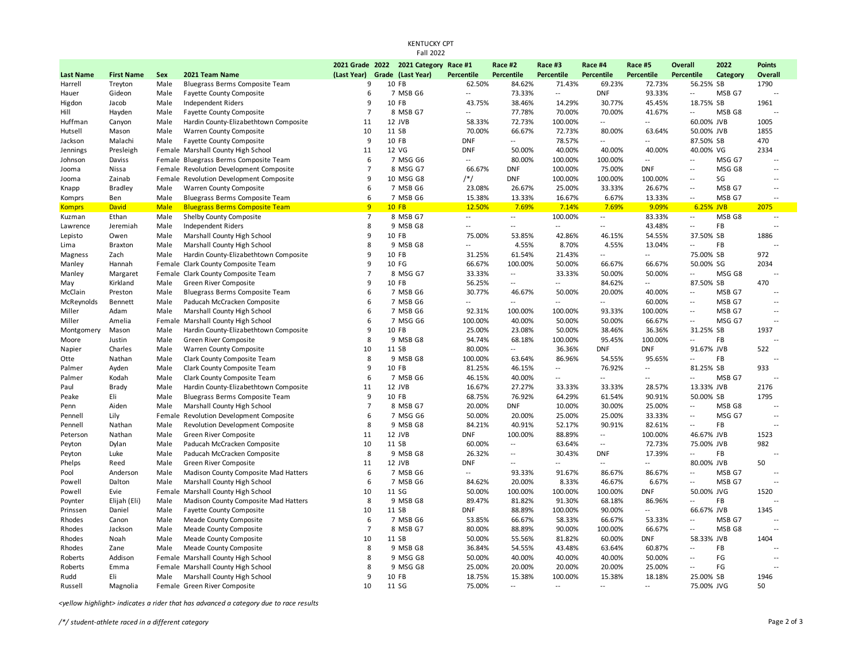| Fall 2022        |                        |              |                                                                   |                     |  |                                       |                                  |                          |                          |                          |                          |                          |          |                          |
|------------------|------------------------|--------------|-------------------------------------------------------------------|---------------------|--|---------------------------------------|----------------------------------|--------------------------|--------------------------|--------------------------|--------------------------|--------------------------|----------|--------------------------|
|                  |                        |              |                                                                   |                     |  | 2021 Grade 2022 2021 Category Race #1 |                                  | Race #2                  | Race #3                  | Race #4                  | Race #5                  | <b>Overall</b>           | 2022     | <b>Points</b>            |
| <b>Last Name</b> | <b>First Name</b>      | <b>Sex</b>   | 2021 Team Name                                                    |                     |  | (Last Year) Grade (Last Year)         | <b>Percentile</b>                | <b>Percentile</b>        | <b>Percentile</b>        | <b>Percentile</b>        | <b>Percentile</b>        | Percentile               | Category | <b>Overall</b>           |
| Harrell          | Treyton                | Male         | Bluegrass Berms Composite Team                                    | 9                   |  | 10 FB                                 | 62.50%                           | 84.62%                   | 71.43%                   | 69.23%                   | 72.73%                   | 56.25% SB                |          | 1790                     |
| Hauer            | Gideon                 | Male         | <b>Fayette County Composite</b>                                   | 6                   |  | 7 MSB G6                              | $\overline{\phantom{a}}$         | 73.33%                   | $\overline{\phantom{a}}$ | <b>DNF</b>               | 93.33%                   | $\sim$                   | MSB G7   | $\overline{\phantom{a}}$ |
| Higdon           | Jacob                  | Male         | Independent Riders                                                | 9                   |  | 10 FB                                 | 43.75%                           | 38.46%                   | 14.29%                   | 30.77%                   | 45.45%                   | 18.75% SB                |          | 1961                     |
| Hill             | Hayden                 | Male         | <b>Fayette County Composite</b>                                   | $\overline{7}$      |  | 8 MSB G7                              | $\overline{a}$                   | 77.78%                   | 70.00%                   | 70.00%                   | 41.67%                   | $\overline{\phantom{a}}$ | MSB G8   | $\overline{\phantom{a}}$ |
| Huffman          | Canyon                 | Male         | Hardin County-Elizabethtown Composite                             | 11                  |  | 12 JVB                                | 58.33%                           | 72.73%                   | 100.00%                  | $\sim$                   | $\sim$                   | 60.00% JVB               |          | 1005                     |
| Hutsell          | Mason                  | Male         | Warren County Composite                                           | 10                  |  | 11 SB                                 | 70.00%                           | 66.67%                   | 72.73%                   | 80.00%                   | 63.64%                   | 50.00% JVB               |          | 1855                     |
| Jackson          | Malachi                | Male         | <b>Fayette County Composite</b>                                   | 9                   |  | 10 FB                                 | <b>DNF</b>                       | $\overline{a}$           | 78.57%                   | $\sim$                   | $-$                      | 87.50% SB                |          | 470                      |
| Jennings         | Presleigh              |              | Female Marshall County High School                                | 11                  |  | 12 VG                                 | <b>DNF</b>                       | 50.00%                   | 40.00%                   | 40.00%                   | 40.00%                   | 40.00% VG                |          | 2334                     |
| Johnson          | Daviss                 |              | Female Bluegrass Berms Composite Team                             | 6                   |  | 7 MSG G6                              | $\overline{a}$                   | 80.00%                   | 100.00%                  | 100.00%                  | $\overline{\phantom{a}}$ | $\overline{\phantom{a}}$ | MSG G7   |                          |
| Jooma            | Nissa                  |              | Female Revolution Development Composite                           | $\overline{7}$      |  | 8 MSG G7                              | 66.67%                           | <b>DNF</b>               | 100.00%                  | 75.00%                   | <b>DNF</b>               | $\sim$ $\sim$            | MSG G8   | $\overline{a}$           |
| Jooma            | Zainab                 |              | Female Revolution Development Composite                           | 9                   |  | 10 MSG G8                             | /*/                              | <b>DNF</b>               | 100.00%                  | 100.00%                  | 100.00%                  | $\sim$ $\sim$            | SG       | $-1$                     |
| Knapp            | <b>Bradley</b>         | Male         | Warren County Composite                                           | 6                   |  | 7 MSB G6                              | 23.08%                           | 26.67%                   | 25.00%                   | 33.33%                   | 26.67%                   | $\sim$ $\sim$            | MSB G7   | $\overline{a}$           |
| Komprs           | Ben                    | Male         | Bluegrass Berms Composite Team                                    | 6                   |  | 7 MSB G6                              | 15.38%                           | 13.33%                   | 16.67%                   | 6.67%                    | 13.33%                   | $\sim$ $-$               | MSB G7   | ٠.                       |
| <b>Komprs</b>    | David                  | <b>Male</b>  | <b>Bluegrass Berms Composite Team</b>                             | 9                   |  | <b>10 FB</b>                          | 12.50%                           | 7.69%                    | 7.14%                    | 7.69%                    | 9.09%                    | 6.25% JVB                |          | 2075                     |
| Kuzman           | Ethan                  | Male         | Shelby County Composite                                           | $\overline{7}$<br>8 |  | 8 MSB G7<br>9 MSB G8                  | $\overline{a}$<br>$\overline{a}$ | $\sim$<br>$\overline{a}$ | 100.00%<br>$\sim$        | $\sim$<br>$\sim$         | 83.33%                   | $\sim$<br>$\sim$         | MSB G8   | $\overline{\phantom{a}}$ |
| Lawrence         | Jeremiah               | Male<br>Male | Independent Riders                                                | 9                   |  | 10 FB                                 | 75.00%                           | 53.85%                   | 42.86%                   | 46.15%                   | 43.48%<br>54.55%         | 37.50% SB                | FB       | 1886                     |
| Lepisto<br>Lima  | Owen<br><b>Braxton</b> | Male         | Marshall County High School<br>Marshall County High School        | 8                   |  | 9 MSB G8                              | $\overline{a}$                   | 4.55%                    | 8.70%                    | 4.55%                    | 13.04%                   | $\sim$                   | FB       |                          |
| Magness          | Zach                   | Male         | Hardin County-Elizabethtown Composite                             | 9                   |  | 10 FB                                 | 31.25%                           | 61.54%                   | 21.43%                   | $\sim$                   | $\overline{a}$           | 75.00% SB                |          | 972                      |
| Manley           | Hannah                 |              | Female Clark County Composite Team                                | 9                   |  | 10 FG                                 | 66.67%                           | 100.00%                  | 50.00%                   | 66.67%                   | 66.67%                   | 50.00% SG                |          | 2034                     |
| Manley           | Margaret               |              | Female Clark County Composite Team                                | $\overline{7}$      |  | 8 MSG G7                              | 33.33%                           | $\overline{a}$           | 33.33%                   | 50.00%                   | 50.00%                   | $\sim$                   | MSG G8   | $\overline{a}$           |
| May              | Kirkland               | Male         | Green River Composite                                             | 9                   |  | 10 FB                                 | 56.25%                           | $\overline{\phantom{a}}$ | $\overline{a}$           | 84.62%                   | $\sim$                   | 87.50% SB                |          | 470                      |
| McClain          | Preston                | Male         | Bluegrass Berms Composite Team                                    | 6                   |  | 7 MSB G6                              | 30.77%                           | 46.67%                   | 50.00%                   | 20.00%                   | 40.00%                   | $\overline{\phantom{m}}$ | MSB G7   | $\overline{\phantom{a}}$ |
| McReynolds       | Bennett                | Male         | Paducah McCracken Composite                                       | 6                   |  | 7 MSB G6                              | $\overline{a}$                   | $\overline{\phantom{a}}$ | $\overline{a}$           | $\overline{\phantom{a}}$ | 60.00%                   | $\sim$                   | MSB G7   |                          |
| Miller           | Adam                   | Male         | Marshall County High School                                       | 6                   |  | 7 MSB G6                              | 92.31%                           | 100.00%                  | 100.00%                  | 93.33%                   | 100.00%                  | $\sim$ $\sim$            | MSB G7   | $\overline{a}$           |
| Miller           | Amelia                 | Female       | Marshall County High School                                       | 6                   |  | 7 MSG G6                              | 100.00%                          | 40.00%                   | 50.00%                   | 50.00%                   | 66.67%                   | $\sim$                   | MSG G7   | $-1$                     |
| Montgomery       | Mason                  | Male         | Hardin County-Elizabethtown Composite                             | 9                   |  | 10 FB                                 | 25.00%                           | 23.08%                   | 50.00%                   | 38.46%                   | 36.36%                   | 31.25% SB                |          | 1937                     |
| Moore            | Justin                 | Male         | Green River Composite                                             | 8                   |  | 9 MSB G8                              | 94.74%                           | 68.18%                   | 100.00%                  | 95.45%                   | 100.00%                  | $\sim$                   | FB       | $\ddotsc$                |
| Napier           | Charles                | Male         | Warren County Composite                                           | 10                  |  | 11 SB                                 | 80.00%                           | $\overline{\phantom{a}}$ | 36.36%                   | <b>DNF</b>               | <b>DNF</b>               | 91.67% JVB               |          | 522                      |
| Otte             | Nathan                 | Male         | Clark County Composite Team                                       | 8                   |  | 9 MSB G8                              | 100.00%                          | 63.64%                   | 86.96%                   | 54.55%                   | 95.65%                   | $\overline{\phantom{a}}$ | FB       | $\overline{a}$           |
| Palmer           | Ayden                  | Male         | Clark County Composite Team                                       | 9                   |  | 10 FB                                 | 81.25%                           | 46.15%                   | $\overline{\phantom{a}}$ | 76.92%                   | $\overline{\phantom{a}}$ | 81.25% SB                |          | 933                      |
| Palmer           | Kodah                  | Male         | Clark County Composite Team                                       | 6                   |  | 7 MSB G6                              | 46.15%                           | 40.00%                   | $\overline{a}$           | $\overline{a}$           | $\overline{\phantom{a}}$ | $\sim$                   | MSB G7   |                          |
| Paul             | Brady                  | Male         | Hardin County-Elizabethtown Composite                             | 11                  |  | 12 JVB                                | 16.67%                           | 27.27%                   | 33.33%                   | 33.33%                   | 28.57%                   | 13.33% JVB               |          | 2176                     |
| Peake            | Eli                    | Male         | Bluegrass Berms Composite Team                                    | 9                   |  | 10 FB                                 | 68.75%                           | 76.92%                   | 64.29%                   | 61.54%                   | 90.91%                   | 50.00% SB                |          | 1795                     |
| Penn             | Aiden                  | Male         | Marshall County High School                                       | $\overline{7}$      |  | 8 MSB G7                              | 20.00%                           | <b>DNF</b>               | 10.00%                   | 30.00%                   | 25.00%                   | $\sim$                   | MSB G8   | $\overline{a}$           |
| Pennell          | Lily                   | Female       | Revolution Development Composite                                  | 6                   |  | 7 MSG G6                              | 50.00%                           | 20.00%                   | 25.00%                   | 25.00%                   | 33.33%                   | $\overline{a}$           | MSG G7   | $\overline{a}$           |
| Pennell          | Nathan                 | Male         | Revolution Development Composite                                  | 8                   |  | 9 MSB G8                              | 84.21%                           | 40.91%                   | 52.17%                   | 90.91%                   | 82.61%                   | $\sim$                   | FB       |                          |
| Peterson         | Nathan                 | Male         | Green River Composite                                             | 11                  |  | 12 JVB                                | <b>DNF</b>                       | 100.00%                  | 88.89%                   | $\sim$                   | 100.00%                  | 46.67% JVB               |          | 1523                     |
| Peyton           | Dylan                  | Male         | Paducah McCracken Composite                                       | 10                  |  | 11 SB                                 | 60.00%                           | $\overline{\phantom{a}}$ | 63.64%                   | $\sim$                   | 72.73%                   | 75.00% JVB               |          | 982                      |
| Peyton           | Luke                   | Male         | Paducah McCracken Composite                                       | 8                   |  | 9 MSB G8                              | 26.32%                           | $\overline{a}$           | 30.43%                   | <b>DNF</b>               | 17.39%                   | $\overline{a}$           | FB       | $\sim$                   |
| Phelps           | Reed                   | Male         | Green River Composite                                             | 11                  |  | 12 JVB                                | <b>DNF</b>                       | $\overline{\phantom{a}}$ | --                       | $\sim$                   | $\sim$                   | 80.00% JVB               |          | 50                       |
| Pool             | Anderson               | Male         | Madison County Composite Mad Hatters                              | 6                   |  | 7 MSB G6                              | $\overline{\phantom{a}}$         | 93.33%                   | 91.67%                   | 86.67%                   | 86.67%                   | $\sim$ $\sim$            | MSB G7   | $\ddotsc$                |
| Powell           | Dalton                 | Male         | Marshall County High School                                       | 6                   |  | 7 MSB G6                              | 84.62%                           | 20.00%                   | 8.33%                    | 46.67%                   | 6.67%                    | $\overline{\phantom{a}}$ | MSB G7   | $\overline{a}$           |
| Powell           | Evie                   |              | Female Marshall County High School                                | 10                  |  | 11 SG                                 | 50.00%                           | 100.00%                  | 100.00%                  | 100.00%                  | <b>DNF</b>               | 50.00% JVG               |          | 1520                     |
| Poynter          | Elijah (Eli)           | Male         | Madison County Composite Mad Hatters                              | 8                   |  | 9 MSB G8                              | 89.47%                           | 81.82%                   | 91.30%                   | 68.18%                   | 86.96%                   | $\sim$                   | FB       |                          |
| Prinssen         | Daniel                 | Male         | <b>Fayette County Composite</b>                                   | 10                  |  | 11 SB                                 | <b>DNF</b>                       | 88.89%                   | 100.00%                  | 90.00%                   | $\overline{\phantom{a}}$ | 66.67% JVB               |          | 1345                     |
| Rhodes           | Canon                  | Male         | Meade County Composite                                            | 6                   |  | 7 MSB G6                              | 53.85%                           | 66.67%                   | 58.33%                   | 66.67%                   | 53.33%                   | $\sim$                   | MSB G7   |                          |
| Rhodes           | Jackson                | Male         | Meade County Composite                                            | $\overline{7}$      |  | 8 MSB G7                              | 80.00%                           | 88.89%                   | 90.00%                   | 100.00%                  | 66.67%                   | $\sim$                   | MSB G8   | $\overline{a}$           |
| Rhodes           | Noah                   | Male         | Meade County Composite                                            | 10                  |  | 11 SB                                 | 50.00%                           | 55.56%                   | 81.82%                   | 60.00%                   | <b>DNF</b>               | 58.33% JVB               |          | 1404                     |
| Rhodes           | Zane                   | Male         | Meade County Composite                                            | 8                   |  | 9 MSB G8                              | 36.84%                           | 54.55%                   | 43.48%                   | 63.64%                   | 60.87%                   | $\sim$                   | FB       |                          |
| Roberts          | Addison                |              | Female Marshall County High School                                | 8                   |  | 9 MSG G8<br>9 MSG G8                  | 50.00%                           | 40.00%                   | 40.00%                   | 40.00%                   | 50.00%<br>25.00%         | $\sim$<br>$\overline{a}$ | FG<br>FG |                          |
| Roberts<br>Rudd  | Emma<br>Eli            | Male         | Female Marshall County High School<br>Marshall County High School | 8<br>9              |  | 10 FB                                 | 25.00%<br>18.75%                 | 20.00%<br>15.38%         | 20.00%<br>100.00%        | 20.00%<br>15.38%         | 18.18%                   | 25.00% SB                |          | 1946                     |
| Russell          | Magnolia               |              | Female Green River Composite                                      | 10                  |  | 11 SG                                 | 75.00%                           | $\overline{a}$           | $\overline{a}$           | $\overline{a}$           | $\sim$                   | 75.00% JVG               |          | 50                       |
|                  |                        |              |                                                                   |                     |  |                                       |                                  |                          |                          |                          |                          |                          |          |                          |

KENTUCKY CPT

*<yellow highlight> indicates a rider that has advanced a category due to race results*